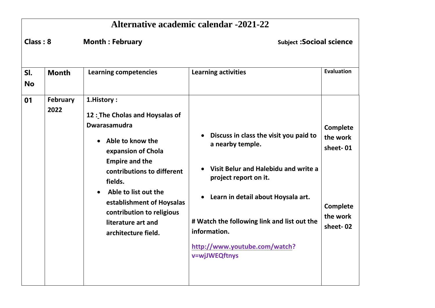|                  | <b>Alternative academic calendar -2021-22</b> |                                                                                                                                                                                                                                                                                                                                           |                                                                                                                                                                                                                                                                                                              |                                                                      |  |
|------------------|-----------------------------------------------|-------------------------------------------------------------------------------------------------------------------------------------------------------------------------------------------------------------------------------------------------------------------------------------------------------------------------------------------|--------------------------------------------------------------------------------------------------------------------------------------------------------------------------------------------------------------------------------------------------------------------------------------------------------------|----------------------------------------------------------------------|--|
| Class: 8         |                                               | <b>Month: February</b>                                                                                                                                                                                                                                                                                                                    | <b>Subject : Socioal science</b>                                                                                                                                                                                                                                                                             |                                                                      |  |
| SI.<br><b>No</b> | <b>Month</b>                                  | <b>Learning competencies</b>                                                                                                                                                                                                                                                                                                              | <b>Learning activities</b>                                                                                                                                                                                                                                                                                   | <b>Evaluation</b>                                                    |  |
| 01               | February<br>2022                              | 1.History:<br>12 : The Cholas and Hoysalas of<br><b>Dwarasamudra</b><br>Able to know the<br>$\bullet$<br>expansion of Chola<br><b>Empire and the</b><br>contributions to different<br>fields.<br>Able to list out the<br>$\bullet$<br>establishment of Hoysalas<br>contribution to religious<br>literature art and<br>architecture field. | Discuss in class the visit you paid to<br>$\bullet$<br>a nearby temple.<br>Visit Belur and Halebidu and write a<br>project report on it.<br>Learn in detail about Hoysala art.<br>$\bullet$<br># Watch the following link and list out the<br>information.<br>http://www.youtube.com/watch?<br>v=wjJWEQftnys | Complete<br>the work<br>sheet-01<br>Complete<br>the work<br>sheet-02 |  |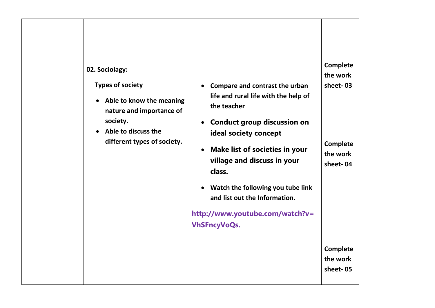| 02. Sociolagy:<br><b>Types of society</b><br>Able to know the meaning<br>$\bullet$<br>nature and importance of<br>society.<br>Able to discuss the<br>$\bullet$<br>different types of society. | Compare and contrast the urban<br>life and rural life with the help of<br>the teacher<br><b>Conduct group discussion on</b><br>$\bullet$<br>ideal society concept<br><b>Make list of societies in your</b><br>$\bullet$<br>village and discuss in your<br>class.<br>Watch the following you tube link<br>$\bullet$<br>and list out the Information.<br>http://www.youtube.com/watch?v=<br><b>VhSFncyVoQs.</b> | Complete<br>the work<br>sheet-03<br>Complete<br>the work<br>sheet-04<br>Complete |
|-----------------------------------------------------------------------------------------------------------------------------------------------------------------------------------------------|---------------------------------------------------------------------------------------------------------------------------------------------------------------------------------------------------------------------------------------------------------------------------------------------------------------------------------------------------------------------------------------------------------------|----------------------------------------------------------------------------------|
|                                                                                                                                                                                               |                                                                                                                                                                                                                                                                                                                                                                                                               | the work<br>sheet-05                                                             |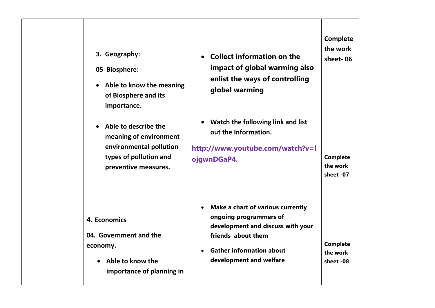| 3. Geography:<br>05 Biosphere:<br>Able to know the meaning<br>$\bullet$<br>of Biosphere and its<br>importance.<br>Able to describe the<br>$\bullet$<br>meaning of environment<br>environmental pollution<br>types of pollution and<br>preventive measures. | <b>Collect information on the</b><br>$\bullet$<br>impact of global warming also<br>enlist the ways of controlling<br>global warming<br>Watch the following link and list<br>$\bullet$<br>out the Information.<br>http://www.youtube.com/watch?v=l<br>ojgwnDGaP4. | Complete<br>the work<br>sheet-06<br><b>Complete</b><br>the work<br>sheet -07 |
|------------------------------------------------------------------------------------------------------------------------------------------------------------------------------------------------------------------------------------------------------------|------------------------------------------------------------------------------------------------------------------------------------------------------------------------------------------------------------------------------------------------------------------|------------------------------------------------------------------------------|
| 4. Economics<br>04. Government and the<br>economy.<br>Able to know the<br>importance of planning in                                                                                                                                                        | Make a chart of various currently<br>$\bullet$<br>ongoing programmers of<br>development and discuss with your<br>friends about them<br><b>Gather information about</b><br>$\bullet$<br>development and welfare                                                   | <b>Complete</b><br>the work<br>sheet -08                                     |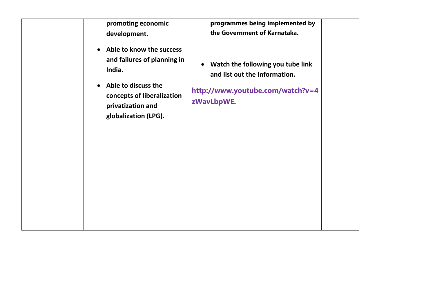| promoting economic<br>development.<br>Able to know the success<br>$\bullet$                                                  | programmes being implemented by<br>the Government of Karnataka.                                                                   |
|------------------------------------------------------------------------------------------------------------------------------|-----------------------------------------------------------------------------------------------------------------------------------|
| and failures of planning in<br>India.<br>Able to discuss the<br>$\bullet$<br>concepts of liberalization<br>privatization and | Watch the following you tube link<br>$\bullet$<br>and list out the Information.<br>http://www.youtube.com/watch?v=4<br>zWavLbpWE. |
| globalization (LPG).                                                                                                         |                                                                                                                                   |
|                                                                                                                              |                                                                                                                                   |
|                                                                                                                              |                                                                                                                                   |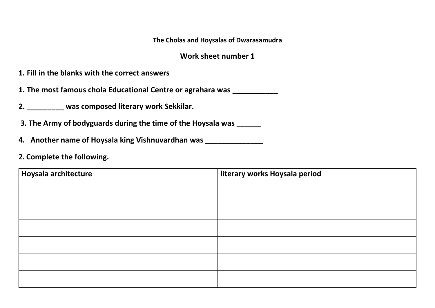**The Cholas and Hoysalas of Dwarasamudra**

#### **Work sheet number 1**

- **1. Fill in the blanks with the correct answers**
- **1. The most famous chola Educational Centre or agrahara was \_\_\_\_\_\_\_\_\_\_\_**
- **2. \_\_\_\_\_\_\_\_\_ was composed literary work Sekkilar.**
- **3. The Army of bodyguards during the time of the Hoysala was \_\_\_\_\_\_**
- **4. Another name of Hoysala king Vishnuvardhan was \_\_\_\_\_\_\_\_\_\_\_\_\_\_**
- **2. Complete the following.**

| Hoysala architecture | literary works Hoysala period |
|----------------------|-------------------------------|
|                      |                               |
|                      |                               |
|                      |                               |
|                      |                               |
|                      |                               |
|                      |                               |
|                      |                               |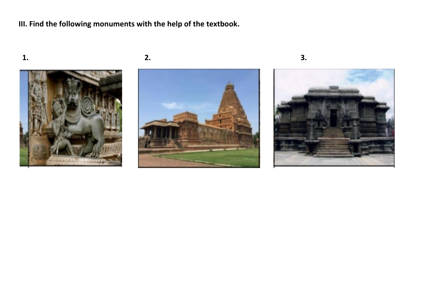**III. Find the following monuments with the help of the textbook.**





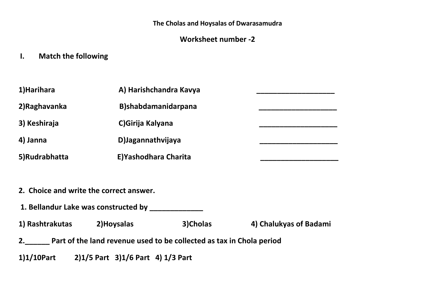**The Cholas and Hoysalas of Dwarasamudra**

#### **Worksheet number -2**

**I. Match the following** 

| 1)Harihara    | A) Harishchandra Kavya |  |
|---------------|------------------------|--|
| 2) Raghavanka | B)shabdamanidarpana    |  |
| 3) Keshiraja  | C) Girija Kalyana      |  |
| 4) Janna      | D) Jagannathvijaya     |  |
| 5)Rudrabhatta | E) Yashodhara Charita  |  |

- **2. Choice and write the correct answer.**
- **1. Bellandur Lake was constructed by \_\_\_\_\_\_\_\_\_\_\_\_\_**

**1) Rashtrakutas 2)Hoysalas 3)Cholas 4) Chalukyas of Badami**

- **2.\_\_\_\_\_\_ Part of the land revenue used to be collected as tax in Chola period**
- **1)1/10Part 2)1/5 Part 3)1/6 Part 4) 1/3 Part**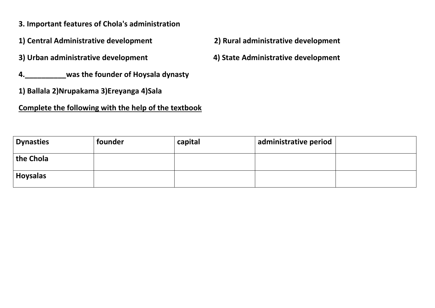- **3. Important features of Chola's administration**
- **1) Central Administrative development 2) Rural administrative development**
- **3) Urban administrative development 4) State Administrative development**
- **4.\_\_\_\_\_\_\_\_\_\_was the founder of Hoysala dynasty**
- **1) Ballala 2)Nrupakama 3)Ereyanga 4)Sala**

#### **Complete the following with the help of the textbook**

- 
- 

| <b>Dynasties</b> | founder | capital | administrative period |  |
|------------------|---------|---------|-----------------------|--|
| the Chola        |         |         |                       |  |
| <b>Hoysalas</b>  |         |         |                       |  |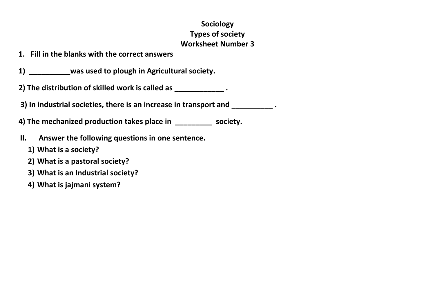## **Sociology Types of society Worksheet Number 3**

**1. Fill in the blanks with the correct answers**

**1) \_\_\_\_\_\_\_\_\_\_was used to plough in Agricultural society.**

**2) The distribution of skilled work is called as \_\_\_\_\_\_\_\_\_\_\_\_ .**

**3) In industrial societies, there is an increase in transport and \_\_\_\_\_\_\_\_\_\_ .**

**4) The mechanized production takes place in \_\_\_\_\_\_\_\_\_ society.**

- **II. Answer the following questions in one sentence.**
	- **1) What is a society?**
	- **2) What is a pastoral society?**
	- **3) What is an Industrial society?**
	- **4) What is jajmani system?**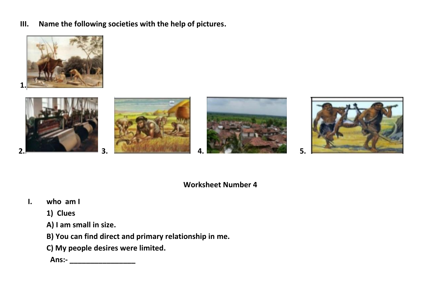Name the following societies with the help of pictures. III.











5.

#### **Worksheet Number 4**

who  $am1$  $\mathbf{L}$ 

 $2<sub>0</sub>$ 

- 1) Clues
- A) I am small in size.
- B) You can find direct and primary relationship in me.
- C) My people desires were limited.

 $3.$ 

Ans:- \_\_\_\_\_\_\_\_\_\_\_\_\_\_\_\_\_\_\_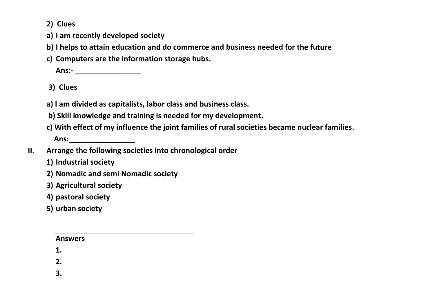**2) Clues**

- **a) I am recently developed society**
- **b) I helps to attain education and do commerce and business needed for the future**
- **c) Computers are the information storage hubs.**

**Ans:- \_\_\_\_\_\_\_\_\_\_\_\_\_\_\_\_**

 **3) Clues**

**a) I am divided as capitalists, labor class and business class.**

**b) Skill knowledge and training is needed for my development.**

**c) With effect of my influence the joint families of rural societies became nuclear families.**

 **Ans:\_\_\_\_\_\_\_\_\_\_\_\_\_\_\_\_**

- **II. Arrange the following societies into chronological order**
	- **1) Industrial society**
	- **2) Nomadic and semi Nomadic society**
	- **3) Agricultural society**
	- **4) pastoral society**
	- **5) urban society**

| <b>Answers</b> |  |  |
|----------------|--|--|
|                |  |  |
| 2.             |  |  |
|                |  |  |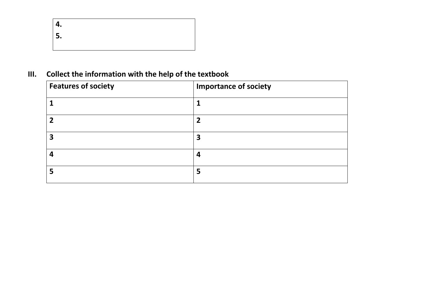| 4.   |  |  |
|------|--|--|
| l 5. |  |  |
|      |  |  |

# **III. Collect the information with the help of the textbook**

| <b>Features of society</b> | <b>Importance of society</b> |
|----------------------------|------------------------------|
|                            |                              |
|                            | າ                            |
| 3                          | 3                            |
| Δ                          | 4                            |
|                            | 5                            |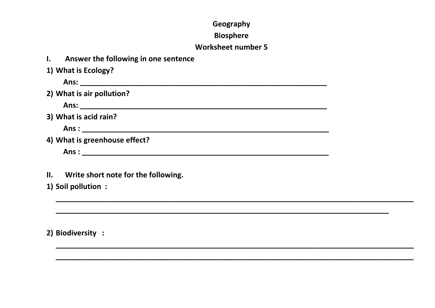#### Geography

#### **Biosphere**

#### **Worksheet number 5**

- Answer the following in one sentence  $\mathbf{L}$ 1) What is Ecology? Ans: The contract of the contract of the contract of the contract of the contract of the contract of the contract of the contract of the contract of the contract of the contract of the contract of the contract of the contr 2) What is air pollution? 3) What is acid rain? 4) What is greenhouse effect? Ans:
- Write short note for the following.  $II.$
- 1) Soil pollution :

2) Biodiversity :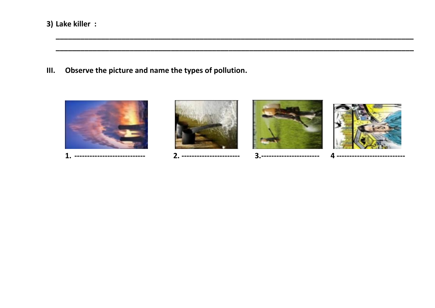3) Lake killer :

 $III.$ Observe the picture and name the types of pollution.







3.-----------------------



-----------------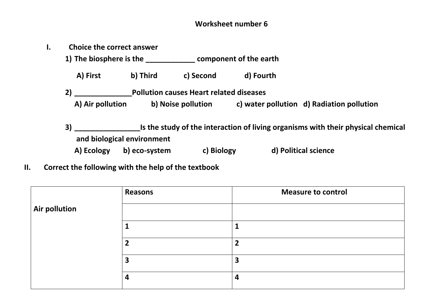#### **Worksheet number 6**

| ь.                         | <b>Choice the correct answer</b>                                                       |               |                                                |           |                                           |
|----------------------------|----------------------------------------------------------------------------------------|---------------|------------------------------------------------|-----------|-------------------------------------------|
|                            |                                                                                        |               | 1) The biosphere is the component of the earth |           |                                           |
|                            | A) First                                                                               | b) Third      | c) Second                                      | d) Fourth |                                           |
|                            | 2)                                                                                     |               | <b>Pollution causes Heart related diseases</b> |           |                                           |
|                            | A) Air pollution                                                                       |               | b) Noise pollution                             |           | c) water pollution d) Radiation pollution |
|                            | Is the study of the interaction of living organisms with their physical chemical<br>3) |               |                                                |           |                                           |
| and biological environment |                                                                                        |               |                                                |           |                                           |
|                            | A) Ecology                                                                             | b) eco-system | c) Biology                                     |           | d) Political science                      |

 **II. Correct the following with the help of the textbook**

|                      | Reasons                 | <b>Measure to control</b> |
|----------------------|-------------------------|---------------------------|
| <b>Air pollution</b> |                         |                           |
|                      |                         |                           |
|                      | $\overline{\mathbf{2}}$ |                           |
|                      | 3                       | э                         |
|                      | 4                       | 4                         |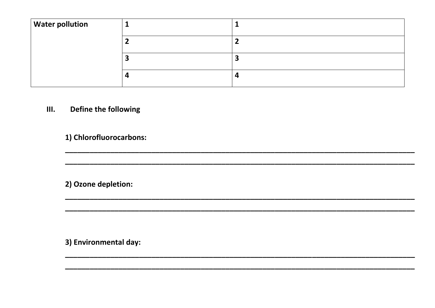| $\vert$ Water pollution |  |
|-------------------------|--|
|                         |  |
|                         |  |
|                         |  |

#### Define the following  $III.$

1) Chlorofluorocarbons:

2) Ozone depletion:

3) Environmental day: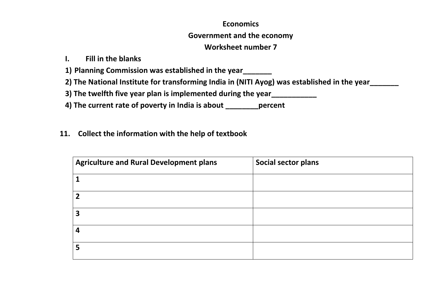#### **Economics**

#### **Government and the economy**

#### **Worksheet number 7**

### **I. Fill in the blanks**

**1) Planning Commission was established in the year\_\_\_\_\_\_\_**

**2) The National Institute for transforming India in (NITI Ayog) was established in the year\_\_\_\_\_\_\_**

**3) The twelfth five year plan is implemented during the year\_\_\_\_\_\_\_\_\_\_\_**

**4) The current rate of poverty in India is about \_\_\_\_\_\_\_\_percent** 

### **11. Collect the information with the help of textbook**

| <b>Agriculture and Rural Development plans</b> | Social sector plans |
|------------------------------------------------|---------------------|
|                                                |                     |
| 7                                              |                     |
| 3                                              |                     |
|                                                |                     |
| 5                                              |                     |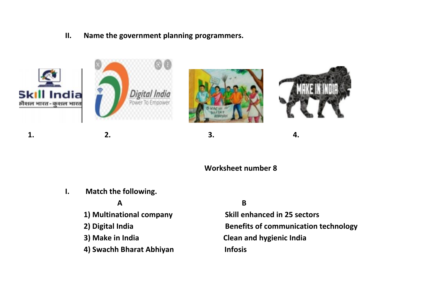**II. Name the government planning programmers.**









**1. 2. 3. 4.**

#### **Worksheet number 8**

**I. Match the following.**

**1) Multinational company Skill enhanced in 25 sectors**

 **4) Swachh Bharat Abhiyan Infosis**

#### **A** B

**2) Digital India Benefits of communication technology 3) Make in India Clean and hygienic India**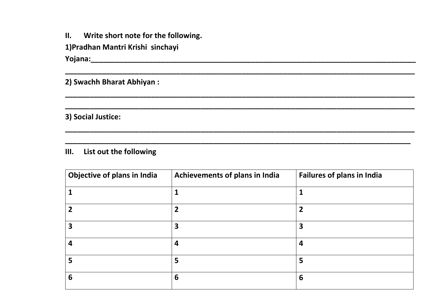| П. |  | Write short note for the following. |  |
|----|--|-------------------------------------|--|
|----|--|-------------------------------------|--|

1) Pradhan Mantri Krishi sinchayi

2) Swachh Bharat Abhiyan:

3) Social Justice:

List out the following  $III.$ 

| Objective of plans in India | Achievements of plans in India | <b>Failures of plans in India</b> |
|-----------------------------|--------------------------------|-----------------------------------|
|                             |                                |                                   |
|                             | $\overline{2}$                 | 2                                 |
|                             | 3                              | 3                                 |
|                             | 4                              | 4                                 |
|                             | 5                              | 5                                 |
| 6                           | 6                              | $6\phantom{1}6$                   |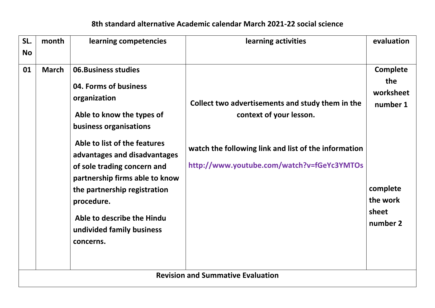# **8th standard alternative Academic calendar March 2021-22 social science**

| SL.       | month                                    | learning competencies                                                                                                                                                                                                                                                                                                                                                             | learning activities                                                                                                                                                               | evaluation                                                                                   |  |
|-----------|------------------------------------------|-----------------------------------------------------------------------------------------------------------------------------------------------------------------------------------------------------------------------------------------------------------------------------------------------------------------------------------------------------------------------------------|-----------------------------------------------------------------------------------------------------------------------------------------------------------------------------------|----------------------------------------------------------------------------------------------|--|
| <b>No</b> |                                          |                                                                                                                                                                                                                                                                                                                                                                                   |                                                                                                                                                                                   |                                                                                              |  |
| 01        | <b>March</b>                             | <b>06.Business studies</b><br>04. Forms of business<br>organization<br>Able to know the types of<br>business organisations<br>Able to list of the features<br>advantages and disadvantages<br>of sole trading concern and<br>partnership firms able to know<br>the partnership registration<br>procedure.<br>Able to describe the Hindu<br>undivided family business<br>concerns. | Collect two advertisements and study them in the<br>context of your lesson.<br>watch the following link and list of the information<br>http://www.youtube.com/watch?v=fGeYc3YMTOs | <b>Complete</b><br>the<br>worksheet<br>number 1<br>complete<br>the work<br>sheet<br>number 2 |  |
|           | <b>Revision and Summative Evaluation</b> |                                                                                                                                                                                                                                                                                                                                                                                   |                                                                                                                                                                                   |                                                                                              |  |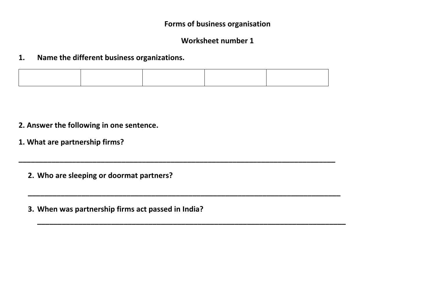#### **Worksheet number 1**

#### **1. Name the different business organizations.**

**\_\_\_\_\_\_\_\_\_\_\_\_\_\_\_\_\_\_\_\_\_\_\_\_\_\_\_\_\_\_\_\_\_\_\_\_\_\_\_\_\_\_\_\_\_\_\_\_\_\_\_\_\_\_\_\_\_\_\_\_\_\_\_\_\_\_\_\_\_\_\_\_\_\_\_\_\_**

**\_\_\_\_\_\_\_\_\_\_\_\_\_\_\_\_\_\_\_\_\_\_\_\_\_\_\_\_\_\_\_\_\_\_\_\_\_\_\_\_\_\_\_\_\_\_\_\_\_\_\_\_\_\_\_\_\_\_\_\_\_\_\_\_\_\_\_\_\_\_\_\_\_\_\_\_**

**\_\_\_\_\_\_\_\_\_\_\_\_\_\_\_\_\_\_\_\_\_\_\_\_\_\_\_\_\_\_\_\_\_\_\_\_\_\_\_\_\_\_\_\_\_\_\_\_\_\_\_\_\_\_\_\_\_\_\_\_\_\_\_\_\_\_\_\_\_\_\_\_\_\_\_**

- **2. Answer the following in one sentence.**
- **1. What are partnership firms?**

**2. Who are sleeping or doormat partners?**

**3. When was partnership firms act passed in India?**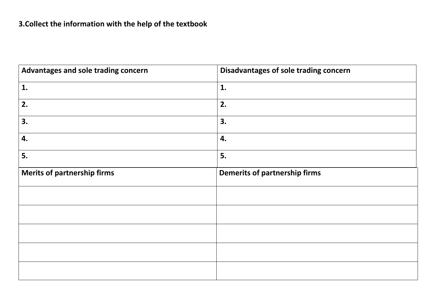| Advantages and sole trading concern | Disadvantages of sole trading concern |
|-------------------------------------|---------------------------------------|
| 1.                                  | 1.                                    |
| 2.                                  | 2.                                    |
| 3.                                  | 3.                                    |
| 4.                                  | 4.                                    |
| 5.                                  | 5.                                    |
| <b>Merits of partnership firms</b>  | <b>Demerits of partnership firms</b>  |
|                                     |                                       |
|                                     |                                       |
|                                     |                                       |
|                                     |                                       |
|                                     |                                       |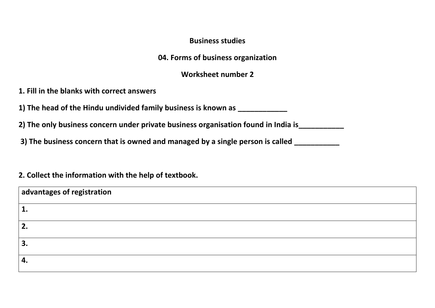#### **Business studies**

**04. Forms of business organization**

**Worksheet number 2**

**1. Fill in the blanks with correct answers**

**1) The head of the Hindu undivided family business is known as** 

**2) The only business concern under private business organisation found in India is\_\_\_\_\_\_\_\_\_\_\_**

**3) The business concern that is owned and managed by a single person is called \_\_\_\_\_\_\_\_\_\_\_**

#### **2. Collect the information with the help of textbook.**

| advantages of registration |  |
|----------------------------|--|
| ш.                         |  |
| 2.                         |  |
| 3.                         |  |
| 4.                         |  |